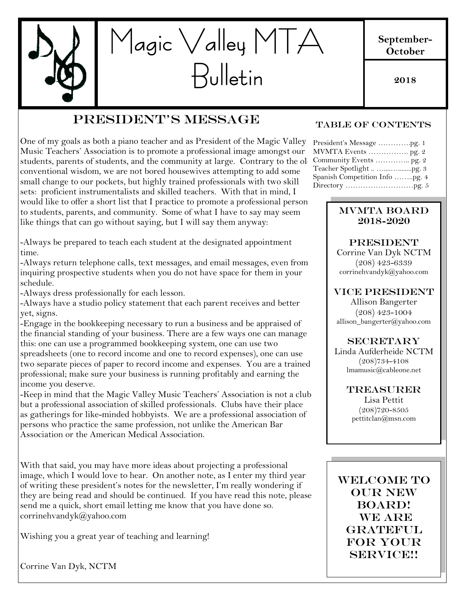

### President's Message

One of my goals as both a piano teacher and as President of the Magic Valley Music Teachers' Association is to promote a professional image amongst our students, parents of students, and the community at large. Contrary to the old conventional wisdom, we are not bored housewives attempting to add some small change to our pockets, but highly trained professionals with two skill sets: proficient instrumentalists and skilled teachers. With that in mind, I would like to offer a short list that I practice to promote a professional person to students, parents, and community. Some of what I have to say may seem like things that can go without saying, but I will say them anyway:

-Always be prepared to teach each student at the designated appointment time.

-Always return telephone calls, text messages, and email messages, even from inquiring prospective students when you do not have space for them in your schedule.

-Always dress professionally for each lesson.

-Always have a studio policy statement that each parent receives and better yet, signs.

-Engage in the bookkeeping necessary to run a business and be appraised of the financial standing of your business. There are a few ways one can manage this: one can use a programmed bookkeeping system, one can use two spreadsheets (one to record income and one to record expenses), one can use two separate pieces of paper to record income and expenses. You are a trained professional; make sure your business is running profitably and earning the income you deserve.

-Keep in mind that the Magic Valley Music Teachers' Association is not a club but a professional association of skilled professionals. Clubs have their place as gatherings for like-minded hobbyists. We are a professional association of persons who practice the same profession, not unlike the American Bar Association or the American Medical Association.

With that said, you may have more ideas about projecting a professional image, which I would love to hear. On another note, as I enter my third year of writing these president's notes for the newsletter, I'm really wondering if they are being read and should be continued. If you have read this note, please send me a quick, short email letting me know that you have done so. corrinehvandyk@yahoo.com

Wishing you a great year of teaching and learning!

Corrine Van Dyk, NCTM

#### Table of Contents

**2018**

| President's Message pg. 1      |
|--------------------------------|
| MVMTA Events  pg. 2            |
|                                |
|                                |
| Spanish Competition Info pg. 4 |
|                                |
|                                |

#### MVMTA Board 2018-2020

**PRESIDENT** 

Corrine Van Dyk NCTM (208) 423-6339 corrinehvandyk@yahoo.com

VICE PRESIDENT

Allison Bangerter (208) 423-1004 allison\_bangerter@yahoo.com

#### **SECRETARY**

ing me Linda Aufderheide NCTM (208)734-4108 lmamusic@cableone.net

> TREASURER Lisa Pettit (208)720-8505 pettitclan@msn.com

WELCOME TO OUR NEW BOARD! WE ARE **GRATEFUL** FOR YOUR SERVICE!!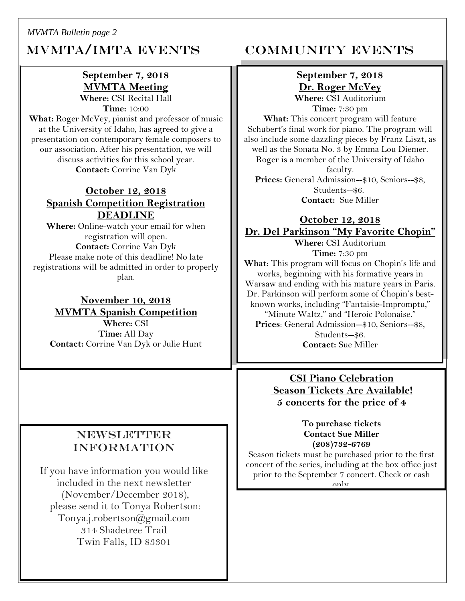#### *MVMTA Bulletin page 2*

# MVMTA/IMTA EVENTS COMMUNITY EVENTS

#### **September 7, 2018 MVMTA Meeting Where:** CSI Recital Hall

**Time:** 10:00 **What:** Roger McVey, pianist and professor of music at the University of Idaho, has agreed to give a presentation on contemporary female composers to our association. After his presentation, we will

> discuss activities for this school year. **Contact:** Corrine Van Dyk

#### **October 12, 2018 Spanish Competition Registration DEADLINE**

**Where:** Online-watch your email for when registration will open. **Contact:** Corrine Van Dyk Please make note of this deadline! No late registrations will be admitted in order to properly plan.

**November 10, 2018 MVMTA Spanish Competition Where:** CSI **Time:** All Day **Contact:** Corrine Van Dyk or Julie Hunt

### **NEWSLETTER** information

If you have information you would like included in the next newsletter (November/December 2018), please send it to Tonya Robertson: Tonya.j.robertson@gmail.com 314 Shadetree Trail Twin Falls, ID 83301

#### **September 7, 2018 Dr. Roger McVey Where:** CSI Auditorium

**Time:** 7:30 pm

**What:** This concert program will feature Schubert's final work for piano. The program will also include some dazzling pieces by Franz Liszt, as well as the Sonata No. 3 by Emma Lou Diemer. Roger is a member of the University of Idaho faculty. **Prices:** General Admission--\$10, Seniors--\$8, Students--\$6.

**Contact:** Sue Miller

## **October 12, 2018 Dr. Del Parkinson "My Favorite Chopin"**

**Where:** CSI Auditorium **Time:** 7:30 pm

**What**: This program will focus on Chopin's life and works, beginning with his formative years in Warsaw and ending with his mature years in Paris. Dr. Parkinson will perform some of Chopin's bestknown works, including "Fantaisie-Impromptu," "Minute Waltz," and "Heroic Polonaise." **Prices**: General Admission--\$10, Seniors--\$8, Students--\$6. **Contact:** Sue Miller

> **CSI Piano Celebration Season Tickets Are Available! 5 concerts for the price of 4**

> > **To purchase tickets Contact Sue Miller (208)732-6769**

Season tickets must be purchased prior to the first concert of the series, including at the box office just prior to the September 7 concert. Check or cash only.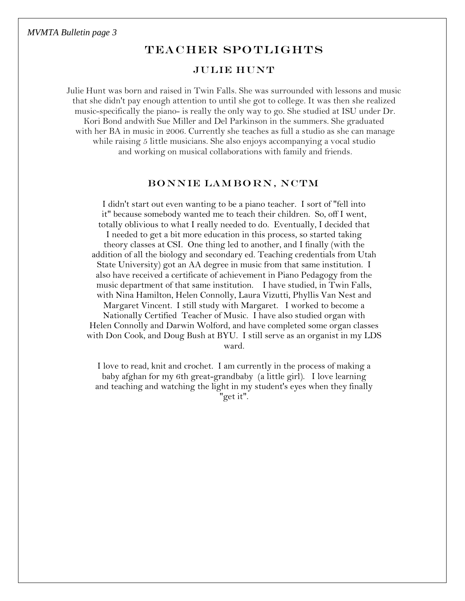#### TEACHER SPOTLIGHTS

#### Julie Hunt

Julie Hunt was born and raised in Twin Falls. She was surrounded with lessons and music that she didn't pay enough attention to until she got to college. It was then she realized music-specifically the piano- is really the only way to go. She studied at ISU under Dr. Kori Bond andwith Sue Miller and Del Parkinson in the summers. She graduated with her BA in music in 2006. Currently she teaches as full a studio as she can manage while raising 5 little musicians. She also enjoys accompanying a vocal studio and working on musical collaborations with family and friends.

#### Bonnie Lam bo rn, NCTM

I didn't start out even wanting to be a piano teacher. I sort of "fell into it" because somebody wanted me to teach their children. So, off I went, totally oblivious to what I really needed to do. Eventually, I decided that I needed to get a bit more education in this process, so started taking theory classes at CSI. One thing led to another, and I finally (with the addition of all the biology and secondary ed. Teaching credentials from Utah State University) got an AA degree in music from that same institution. I also have received a certificate of achievement in Piano Pedagogy from the music department of that same institution. I have studied, in Twin Falls, with Nina Hamilton, Helen Connolly, Laura Vizutti, Phyllis Van Nest and Margaret Vincent. I still study with Margaret. I worked to become a Nationally Certified Teacher of Music. I have also studied organ with Helen Connolly and Darwin Wolford, and have completed some organ classes with Don Cook, and Doug Bush at BYU. I still serve as an organist in my LDS ward.

I love to read, knit and crochet. I am currently in the process of making a baby afghan for my 6th great-grandbaby (a little girl). I love learning and teaching and watching the light in my student's eyes when they finally "get it".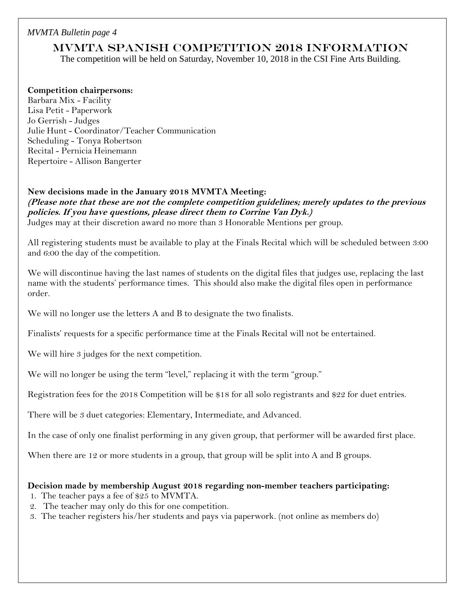#### *MVMTA Bulletin page 4*

#### MVMTA Spanish Competition 2018 Information

The competition will be held on Saturday, November 10, 2018 in the CSI Fine Arts Building.

#### **Competition chairpersons:**

Barbara Mix - Facility Lisa Petit - Paperwork Jo Gerrish - Judges Julie Hunt - Coordinator/Teacher Communication Scheduling - Tonya Robertson Recital - Pernicia Heinemann Repertoire - Allison Bangerter

#### **New decisions made in the January 2018 MVMTA Meeting:**

**(Please note that these are not the complete competition guidelines; merely updates to the previous policies. If you have questions, please direct them to Corrine Van Dyk.)** Judges may at their discretion award no more than 3 Honorable Mentions per group.

All registering students must be available to play at the Finals Recital which will be scheduled between 3:00 and 6:00 the day of the competition.

We will discontinue having the last names of students on the digital files that judges use, replacing the last name with the students' performance times. This should also make the digital files open in performance order.

We will no longer use the letters A and B to designate the two finalists.

Finalists' requests for a specific performance time at the Finals Recital will not be entertained.

We will hire 3 judges for the next competition.

We will no longer be using the term "level," replacing it with the term "group."

Registration fees for the 2018 Competition will be \$18 for all solo registrants and \$22 for duet entries.

There will be 3 duet categories: Elementary, Intermediate, and Advanced.

In the case of only one finalist performing in any given group, that performer will be awarded first place.

When there are 12 or more students in a group, that group will be split into A and B groups.

#### **Decision made by membership August 2018 regarding non-member teachers participating:**

- 1. The teacher pays a fee of \$25 to MVMTA.
- 2. The teacher may only do this for one competition.
- 3. The teacher registers his/her students and pays via paperwork. (not online as members do)